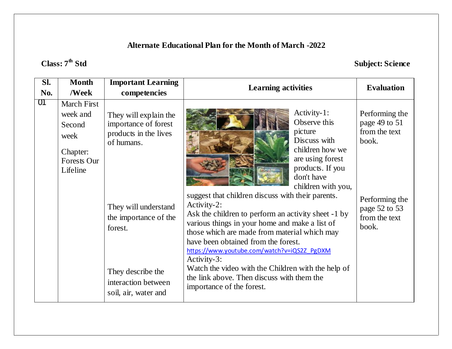# **Class: 7th Std Subject: Science**

| Sl. | <b>Month</b>                                                                                   | <b>Important Learning</b>                                                                                                                                                                                            |                                                                                                                                                                                                                                                                                                                                                                                                                                                                                                                                                                                                                          |                                                                                                                        |
|-----|------------------------------------------------------------------------------------------------|----------------------------------------------------------------------------------------------------------------------------------------------------------------------------------------------------------------------|--------------------------------------------------------------------------------------------------------------------------------------------------------------------------------------------------------------------------------------------------------------------------------------------------------------------------------------------------------------------------------------------------------------------------------------------------------------------------------------------------------------------------------------------------------------------------------------------------------------------------|------------------------------------------------------------------------------------------------------------------------|
| No. | /Week                                                                                          | competencies                                                                                                                                                                                                         | <b>Learning activities</b>                                                                                                                                                                                                                                                                                                                                                                                                                                                                                                                                                                                               | <b>Evaluation</b>                                                                                                      |
| 01  | <b>March First</b><br>week and<br>Second<br>week<br>Chapter:<br><b>Forests Our</b><br>Lifeline | They will explain the<br>importance of forest<br>products in the lives<br>of humans.<br>They will understand<br>the importance of the<br>forest.<br>They describe the<br>interaction between<br>soil, air, water and | Activity-1:<br>Observe this<br>picture<br>Discuss with<br>children how we<br>are using forest<br>products. If you<br>don't have<br>children with you,<br>suggest that children discuss with their parents.<br>Activity-2:<br>Ask the children to perform an activity sheet -1 by<br>various things in your home and make a list of<br>those which are made from material which may<br>have been obtained from the forest.<br>https://www.youtube.com/watch?v=iQS2Z PgDXM<br>Activity-3:<br>Watch the video with the Children with the help of<br>the link above. Then discuss with them the<br>importance of the forest. | Performing the<br>page 49 to 51<br>from the text<br>book.<br>Performing the<br>page 52 to 53<br>from the text<br>book. |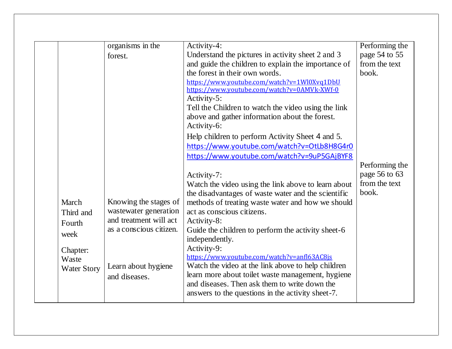|                    | organisms in the        | Activity-4:                                         | Performing the |
|--------------------|-------------------------|-----------------------------------------------------|----------------|
|                    | forest.                 | Understand the pictures in activity sheet 2 and 3   | page 54 to 55  |
|                    |                         | and guide the children to explain the importance of | from the text  |
|                    |                         | the forest in their own words.                      | book.          |
|                    |                         | https://www.youtube.com/watch?v=1Wl0Xvq1DbU         |                |
|                    |                         | https://www.youtube.com/watch?v=0AMVk-XWf-0         |                |
|                    |                         | Activity-5:                                         |                |
|                    |                         | Tell the Children to watch the video using the link |                |
|                    |                         | above and gather information about the forest.      |                |
|                    |                         | Activity-6:                                         |                |
|                    |                         | Help children to perform Activity Sheet 4 and 5.    |                |
|                    |                         | https://www.youtube.com/watch?v=OtLb8H8G4r0         |                |
|                    |                         | https://www.youtube.com/watch?v=9uP5GAjBYF8         |                |
|                    |                         |                                                     | Performing the |
|                    |                         | Activity-7:                                         | page 56 to 63  |
|                    |                         | Watch the video using the link above to learn about | from the text  |
|                    |                         | the disadvantages of waste water and the scientific | book.          |
| March              | Knowing the stages of   | methods of treating waste water and how we should   |                |
| Third and          | wastewater generation   | act as conscious citizens.                          |                |
| Fourth             | and treatment will act  | Activity-8:                                         |                |
|                    | as a conscious citizen. | Guide the children to perform the activity sheet-6  |                |
| week               |                         | independently.                                      |                |
| Chapter:           |                         | Activity-9:                                         |                |
| Waste              |                         | https://www.youtube.com/watch?v=anfl63AC8js         |                |
| <b>Water Story</b> | Learn about hygiene     | Watch the video at the link above to help children  |                |
|                    | and diseases.           | learn more about toilet waste management, hygiene   |                |
|                    |                         | and diseases. Then ask them to write down the       |                |
|                    |                         | answers to the questions in the activity sheet-7.   |                |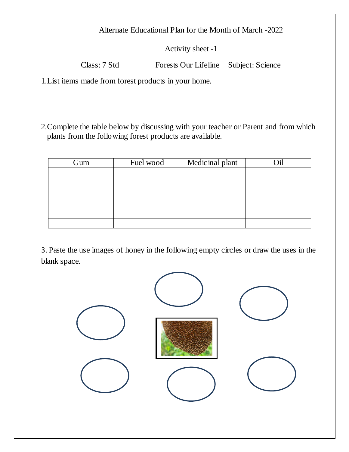Activity sheet -1

Class: 7 Std Forests Our Lifeline Subject: Science

1.List items made from forest products in your home.

2.Complete the table below by discussing with your teacher or Parent and from which plants from the following forest products are available.

| Gum | Fuel wood | Medicinal plant | 7:1 |
|-----|-----------|-----------------|-----|
|     |           |                 |     |
|     |           |                 |     |
|     |           |                 |     |
|     |           |                 |     |
|     |           |                 |     |
|     |           |                 |     |

3. Paste the use images of honey in the following empty circles or draw the uses in the blank space.

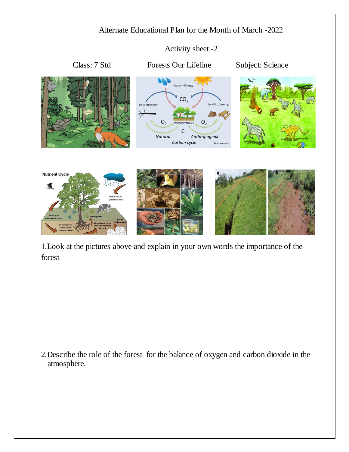Activity sheet -2



1.Look at the pictures above and explain in your own words the importance of the forest

2.Describe the role of the forest for the balance of oxygen and carbon dioxide in the atmosphere.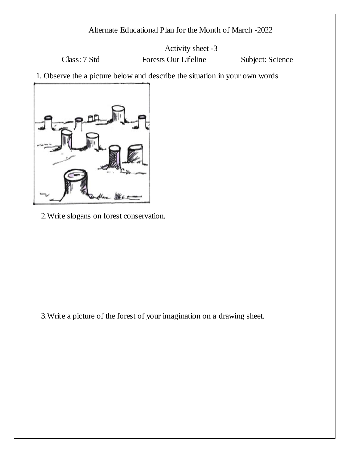Activity sheet -3

Class: 7 Std Forests Our Lifeline Subject: Science

1. Observe the a picture below and describe the situation in your own words



2.Write slogans on forest conservation.

3.Write a picture of the forest of your imagination on a drawing sheet.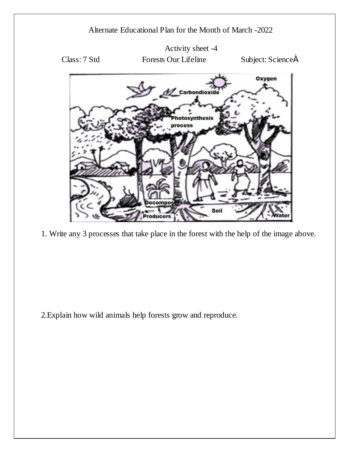

1. Write any 3 processes that take place in the forest with the help of the image above.

2.Explain how wild animals help forests grow and reproduce.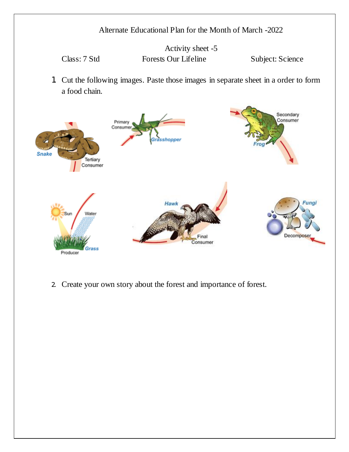Activity sheet -5 Class: 7 Std Forests Our Lifeline Subject: Science

1. Cut the following images. Paste those images in separate sheet in a order to form a food chain.



2. Create your own story about the forest and importance of forest.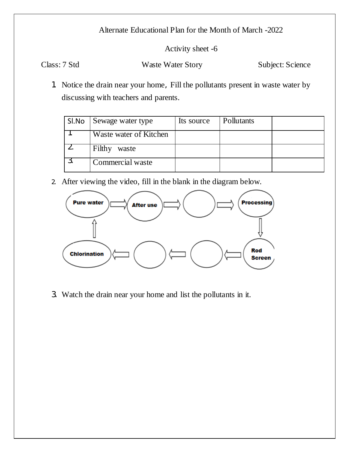Activity sheet -6

Class: 7 Std Waste Water Story Subject: Science

1. Notice the drain near your home, Fill the pollutants present in waste water by discussing with teachers and parents.

| SI.No | Sewage water type      | Its source | Pollutants |  |
|-------|------------------------|------------|------------|--|
|       | Waste water of Kitchen |            |            |  |
|       | Filthy<br>waste        |            |            |  |
|       | Commercial waste       |            |            |  |

2. After viewing the video, fill in the blank in the diagram below.



3. Watch the drain near your home and list the pollutants in it.